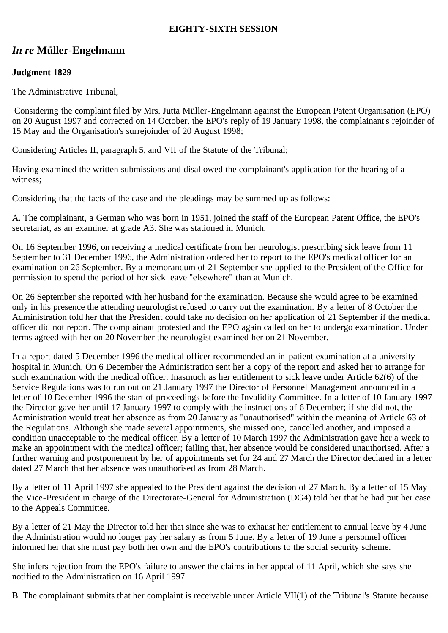### **EIGHTY-SIXTH SESSION**

# *In re* **Müller-Engelmann**

## **Judgment 1829**

The Administrative Tribunal,

 Considering the complaint filed by Mrs. Jutta Müller-Engelmann against the European Patent Organisation (EPO) on 20 August 1997 and corrected on 14 October, the EPO's reply of 19 January 1998, the complainant's rejoinder of 15 May and the Organisation's surrejoinder of 20 August 1998;

Considering Articles II, paragraph 5, and VII of the Statute of the Tribunal;

Having examined the written submissions and disallowed the complainant's application for the hearing of a witness;

Considering that the facts of the case and the pleadings may be summed up as follows:

A. The complainant, a German who was born in 1951, joined the staff of the European Patent Office, the EPO's secretariat, as an examiner at grade A3. She was stationed in Munich.

On 16 September 1996, on receiving a medical certificate from her neurologist prescribing sick leave from 11 September to 31 December 1996, the Administration ordered her to report to the EPO's medical officer for an examination on 26 September. By a memorandum of 21 September she applied to the President of the Office for permission to spend the period of her sick leave "elsewhere" than at Munich.

On 26 September she reported with her husband for the examination. Because she would agree to be examined only in his presence the attending neurologist refused to carry out the examination. By a letter of 8 October the Administration told her that the President could take no decision on her application of 21 September if the medical officer did not report. The complainant protested and the EPO again called on her to undergo examination. Under terms agreed with her on 20 November the neurologist examined her on 21 November.

In a report dated 5 December 1996 the medical officer recommended an in-patient examination at a university hospital in Munich. On 6 December the Administration sent her a copy of the report and asked her to arrange for such examination with the medical officer. Inasmuch as her entitlement to sick leave under Article 62(6) of the Service Regulations was to run out on 21 January 1997 the Director of Personnel Management announced in a letter of 10 December 1996 the start of proceedings before the Invalidity Committee. In a letter of 10 January 1997 the Director gave her until 17 January 1997 to comply with the instructions of 6 December; if she did not, the Administration would treat her absence as from 20 January as "unauthorised" within the meaning of Article 63 of the Regulations. Although she made several appointments, she missed one, cancelled another, and imposed a condition unacceptable to the medical officer. By a letter of 10 March 1997 the Administration gave her a week to make an appointment with the medical officer; failing that, her absence would be considered unauthorised. After a further warning and postponement by her of appointments set for 24 and 27 March the Director declared in a letter dated 27 March that her absence was unauthorised as from 28 March.

By a letter of 11 April 1997 she appealed to the President against the decision of 27 March. By a letter of 15 May the Vice-President in charge of the Directorate-General for Administration (DG4) told her that he had put her case to the Appeals Committee.

By a letter of 21 May the Director told her that since she was to exhaust her entitlement to annual leave by 4 June the Administration would no longer pay her salary as from 5 June. By a letter of 19 June a personnel officer informed her that she must pay both her own and the EPO's contributions to the social security scheme.

She infers rejection from the EPO's failure to answer the claims in her appeal of 11 April, which she says she notified to the Administration on 16 April 1997.

B. The complainant submits that her complaint is receivable under Article VII(1) of the Tribunal's Statute because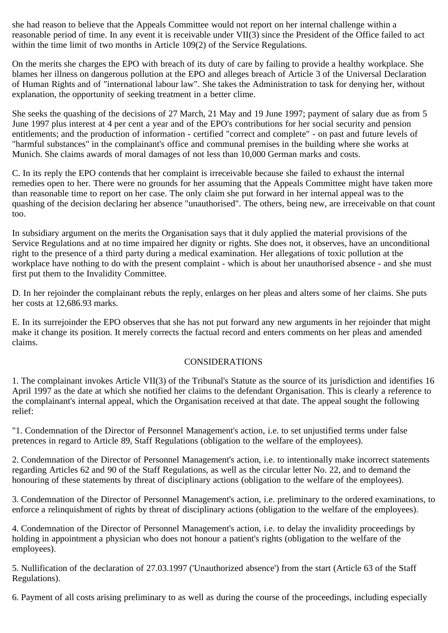she had reason to believe that the Appeals Committee would not report on her internal challenge within a reasonable period of time. In any event it is receivable under VII(3) since the President of the Office failed to act within the time limit of two months in Article 109(2) of the Service Regulations.

On the merits she charges the EPO with breach of its duty of care by failing to provide a healthy workplace. She blames her illness on dangerous pollution at the EPO and alleges breach of Article 3 of the Universal Declaration of Human Rights and of "international labour law". She takes the Administration to task for denying her, without explanation, the opportunity of seeking treatment in a better clime.

She seeks the quashing of the decisions of 27 March, 21 May and 19 June 1997; payment of salary due as from 5 June 1997 plus interest at 4 per cent a year and of the EPO's contributions for her social security and pension entitlements; and the production of information - certified "correct and complete" - on past and future levels of "harmful substances" in the complainant's office and communal premises in the building where she works at Munich. She claims awards of moral damages of not less than 10,000 German marks and costs.

C. In its reply the EPO contends that her complaint is irreceivable because she failed to exhaust the internal remedies open to her. There were no grounds for her assuming that the Appeals Committee might have taken more than reasonable time to report on her case. The only claim she put forward in her internal appeal was to the quashing of the decision declaring her absence "unauthorised". The others, being new, are irreceivable on that count too.

In subsidiary argument on the merits the Organisation says that it duly applied the material provisions of the Service Regulations and at no time impaired her dignity or rights. She does not, it observes, have an unconditional right to the presence of a third party during a medical examination. Her allegations of toxic pollution at the workplace have nothing to do with the present complaint - which is about her unauthorised absence - and she must first put them to the Invalidity Committee.

D. In her rejoinder the complainant rebuts the reply, enlarges on her pleas and alters some of her claims. She puts her costs at 12,686.93 marks.

E. In its surrejoinder the EPO observes that she has not put forward any new arguments in her rejoinder that might make it change its position. It merely corrects the factual record and enters comments on her pleas and amended claims.

#### CONSIDERATIONS

1. The complainant invokes Article VII(3) of the Tribunal's Statute as the source of its jurisdiction and identifies 16 April 1997 as the date at which she notified her claims to the defendant Organisation. This is clearly a reference to the complainant's internal appeal, which the Organisation received at that date. The appeal sought the following relief:

"1. Condemnation of the Director of Personnel Management's action, i.e. to set unjustified terms under false pretences in regard to Article 89, Staff Regulations (obligation to the welfare of the employees).

2. Condemnation of the Director of Personnel Management's action, i.e. to intentionally make incorrect statements regarding Articles 62 and 90 of the Staff Regulations, as well as the circular letter No. 22, and to demand the honouring of these statements by threat of disciplinary actions (obligation to the welfare of the employees).

3. Condemnation of the Director of Personnel Management's action, i.e. preliminary to the ordered examinations, to enforce a relinquishment of rights by threat of disciplinary actions (obligation to the welfare of the employees).

4. Condemnation of the Director of Personnel Management's action, i.e. to delay the invalidity proceedings by holding in appointment a physician who does not honour a patient's rights (obligation to the welfare of the employees).

5. Nullification of the declaration of 27.03.1997 ('Unauthorized absence') from the start (Article 63 of the Staff Regulations).

6. Payment of all costs arising preliminary to as well as during the course of the proceedings, including especially